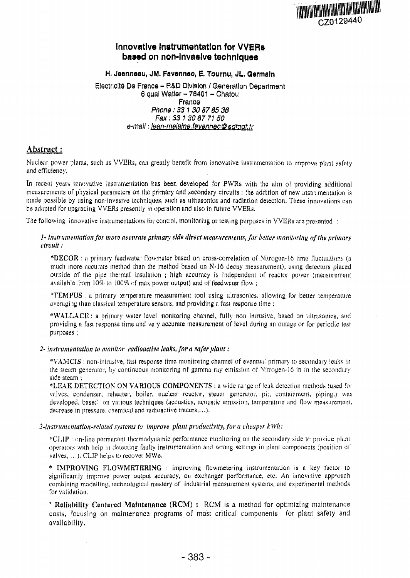

# **Innovative Instrumentation for VVERs bosod on non-Invasive techniques**

H. Jeanneau, JM. Favennec, E. Tournu, JL. Germain

Electricity De France - B&D Division / Generation Department 6 quai Watler - 78401 - Chatou France Phone: 33 1 30 87 85 36 Fax : 33 1 30 87 71 50 e-mail: lean-melaine.favennec@edfadf.fr

# Abstract:

Nuclear power plants, such as VVERs, can greatly benefit from innovative instrumentation to improve plant safety and efficiency,

In recent years innovative instrumentation has been developed for PWRs with the aim of providing additional measurements of physical parameters on the primary and secondary circuits: the addition of new instrumentation is made possible by using non-invasive techniques, such us ultrasonics and radiation detection. These innovations can be adapted for upgrading VVERs presently in operation and also in future VVERs.

The following innovative instrumentations for control, monitoring or testing purposes in VVERs are presented :

## 7- *instrumentation for morn accurate primary side direct measurements, for belter monitoring of the primary circuit:*

\*DECOR : a primary feed water flowmeter based on cross-correlation of Nitrogen-16 time fluctuations (a much more accurate method than the method based on N-16 decay measurement), using detectors placed outside of the pipe thermal insulation ; high accuracy is independent of reactor power (measurement available from  $10\%$  to  $100\%$  of max power output) and of feed water flow :

\*TEMPUS : a primary temperature measurement cool using ultrasonics, allowing for better temperature averaging than classical temperature sensors, and providing a fast response time ;

**""WALLACE**: a primary water level monitoring channel, fully non intrusive, based on ultrasonics, and providing a fast response time and very accurate measurement of level during an outage or for periodic lest purposes ;

### *2- Instrumentation to monitor radioactive leaks, for a safer plant:*

\*VAMCIS : non-intrusive, fast response time monitoring channel of eventual primary to secondary leaks in the steam generator, by continuous monitoring of gamma ray emission of Nitrogen-16 in in the secondary side steam ;

•LEAK DETECTION ON VARIOUS COMPONENTS ; a wide range of leak detection methods (used (bivalves, condenser, reheater, boiler, nuclear reactor, steam generator, pit, containment, piping.) was developed, based on various techniques (acoustics, acoustic emission, temperature and flow measurement, decrease in pressure, chemical and radioactive tracers,...).

### *3-litstruinentation-reIated systems to improve plant productivity, for a cheaper kWh:*

\*CLIP : on-line permanent ihennodynamic performance monitoring on the secondary side to provide plant operators with help in detecting faulty instrumentation and wrong settings in plant components (position of valves,*,..).* CLIP helps to recover MWe,

\* IMPROVING FLOWMETERING : improving flowmetering instrumentation is a key factor to significantly improve power output accuracy, on exchanger performance, etc. An innovative approach combining modelling, technological mastery of industrial measurement systems, and experimental methods for validation.

\* **Reliability Centered Maintenance (RCM)** : RCM is a method for optimizing maintenance costs, focusing on maintenance programs of most critical components for plant safety and availability,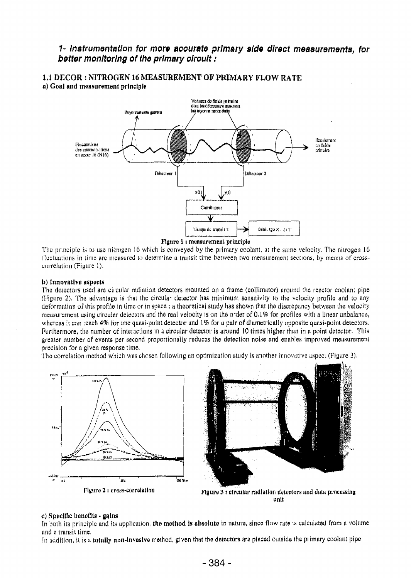# *1' Instrumentation for more accurate primary side direct measurements, for better monitoring of the primary circuit:*

1.1 DECOR : NITROGEN 16 MEASUREMENT OF **PRIMARY** FLOW RATE a) Goal and measurement principle



The principle is to use nitrogen 16 which is conveyed by the primary coolant, at the same velocity. The nitrogen 16 fluctuations in time are measured to determine a transit time between two measurement sections, by means of crosscorrelation (Figure 1).

#### b) Innovative uspects

The detectors used are circular radiation detectors mounted on a frame (collimator) around the reactor coolant pipe (Figure 2). The advantage is that the circular detector has minimum sensitivity to the velocity profile and to any deformation of this profile in time or in space : a theoretical study has shown that the discrepancy between the velocity measurement using circular detectors and the real velocity is on the order of 0.1% for profiles with a linear unbalance, whereas it can reach 4% for one quasi-point detector and 1% for a pair of diametrically opposite quasi-point detectors. Furthermore, the number of interactions in a circular detector is around 10 times higher than in a point detector. This greater number of events per second proportionally reduces the detection noise and enables improved measurement precision for a given response time.

The correlation method which was chosen following an optimization study is another innovative aspect (Figure 3).





Figure 2  $\iota$  cross-correlation  $\iota$  Figure 3  $\iota$  circular radiation detectors and data processing unit

#### c) Specific benefits • gains

In both its principle and its application, the method is absolute in nature, since flow rate is calculated from a volume and a transit time.

In addition, it is a totally non-Invasive method, given that the detectors are placed outside the primary coolant pipe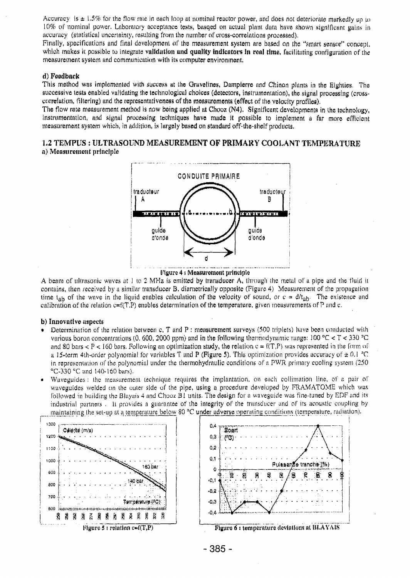Accuracy is  $\pm 1.5\%$  for the flow rate in each loop at nominal reactor power, and does not deteriorate markedly up to 10% of nominal power. Laboratory acceptance tests, busqed on actual **plant** data have shown significant gains in accuracy (statistical uncertainty, resulting from the number of cross-correlations processed).

Finally, specifications and final development of the measurement system are based on the "smart sensor" concept, which makes it possible to integrate **validation and quality indicators in renl time,** facilitating configuration of the measurement system and communication with its computer environment.

#### **d) Feedback**

This method was implemented with success at the Qruvelines, Dampierre and Chinon plants in the Eighties. The successive tests enabled validating the technological choices (detectors, instrumentation), the signal processing (crosscorrelation, filtering) and the representativeness of the measurements (effect of the velocity profiles).

The flow rate measurement method is now being applied at Chooz (N4), Significant developments in the technology, instrumentation, and signal processing techniques have made **it** possible to implement a far more efficient measurement system which, in addition, is largely based on standard off-the-shelf products.

## 1.2 TEMPUS : ULTRASOUND MEASUREMENT OF PRIMAKY COOLANT TEMPERATURE **n) Measurement principle**





A beam of ultrasonic waves at 1 to 2 MHz is emitted by transducer A, through the metal of a pipe and the fluid it contains, then received by a similar transducer B, diametrically opposite (Figure 4) Measurement of the propagation time t<sub>ab</sub> of the wave in the liquid enables calculation of the velocity of sound, or  $c = d/t_{ab}$ . The existence and calibration of the relation  $c=f(T,P)$  enables determination of the temperature, given measurements of P and c.

#### **b) Innovative aspects**

- Determination of the relation between c, T and P : measurement surveys (500 triplets) have been conducted with various boron concentrations (0, 600, 2000 ppm) and in the following thermodynamic range:  $100 \text{ °C} < T < 330 \text{ °C}$ and 80 bars  $\lt P \lt 160$  bars. Following an optimization study, the relation  $c = f(T,P)$  was represented in the form of a 15-term 4th-order polynomial for variables T and P (Figure 5). This optimization provides accuracy of  $\pm$  0.1 °C in representation of the polynomial under the thermohydraulic conditions of a PWR primary cooling system (250 °C-330 °C and 140-160 bars).
- Waveguides: the measurement technique requires the implantation, on each collimation line, of a pair ol' waveguides welded on the outer side of the pipe, using a procedure developed by FRAMATOME which was followed in building the Blayais 4 and Chooz B1 units. The design for a waveguide was fine-tuned by EDF and its industrial partners , It provides a guarantee of the integrity of the transducer and of its acoustic coupling by maintaining the set-up at a temperature below 80 °C under adverse operating conditions (temperature, radiation).

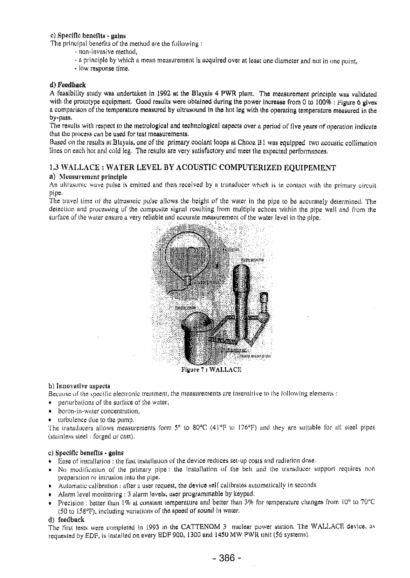## c) Specific benefits - gains

The principal benefits of the method are the following :

- non-invasive method,
- n principle by which a mean measurement is acquired over at least one diameter and not in one point,
- low response time.

## d) Feedback

A feasibility study was undertaken in 1992 at the Blayais 4 PWR plant, The measurement principle was validated with the prototype equipment. Good results were obtained during the power increase from 0 to 100% : Figure 6 gives a comparison of the temperature measured by ultrasound in the hot leg with the operating temperature measured in the by-pass.

The results with respect to the metrological and technological aspects over a period of *five* years of operation indicate that the process can be used for test measurements.

Based on the results at Blayais, one of the primary coolant loops at Chooz B1 was equipped two acoustic collimation lines on each hot and cold leg. The results are very satisfactory und meet the expected performances,

# 1.3 WALLACE : WATER LEVEL BY ACOUSTIC COMPUTERIZED EQUIPEMENT

## a) Measurement principle

An ultrasonic wave pulse is emitted and then received by a transducer which is in contact with the primary circuit pipe.

The travel time of the ultrasonic pulse allows the height of the water in the pipe to be accurately determined, The detection and processing uf the composite signal resulting from multiple echoes within the pipe wall and from the surface of the water ensure a very reliable and accurate measurement of the water level in the pipe.



Figure 7 *i* WALLACE

### b) Innovative aspects

Because of the specific electronic treatment, the measurements are insensitive to the following elements :

- perturbations of the surface of the water,
- boron-in-water concentration,
- turbulence clue to the pump.

The transducers allows measurements form 5° to 80°C (41°F to 176°F) and they are suitable for all steel pipes (stainless steel ; forged or cast),

### c) Specific benefits • gains

- Ease of installation : the fast installation of the device reduces sei-up costs and radiation dose.
- No modification of the primary pipe : the installation of the belt and the transducer support requires non preparation or intrusion into the pipe.
- Automatic calibration : after a user request, the device self calibrates automatically in seconds
- Alarm level monitoring ; 3 alarm levels, user programmable by keypad.
- Precision : better than 1% at constant temperature and better than 3% for temperature changes from 10° to 70°C  $(50 \text{ to } 158^{\circ}\text{F})$ , including variations of the speed of sound in water.

## (1) feedback

The First tests were completed in 1993 in the CATTENOM 3 nuclear power station. The WALLACE device, us requested by EDF, is Installed on every EDF 900, 1300 and 1450 MW PWR unit (56 systems).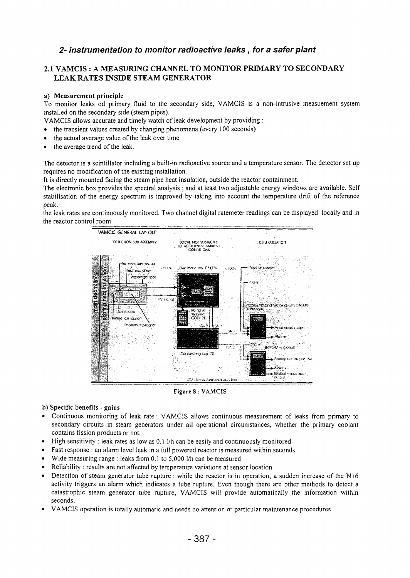# 2- instrumentation to monitor radioactive leaks, for a safer plant

# 2.1 VAMCIS : A MEASURING CHANNEL TO MONITOR PRIMARY TO SECONDARY LEAK RATES INSIDE STEAM GENERATOR

## a) Measurement principle

To monitor leaks od primary fluid to the secondary side, VAMCIS is a non-intrusive measuement system installed on the secondary side (steam pipes).

VAMCIS allows accurate and timely watch of leak development by providing :

• the transient values created by changing phenomena (every 100 seconds)

- the actual average value of the leak over time
- the average trend of the leak.

The detector is a scintillator including a built-in radioactive source and a temperature sensor. The detector set up requires no modification of the existing installation.

It is directly mounted facing the steam pipe heat insulation, outside the reactor containment.

The electronic box provides the spectral analysis ; and at least two adjustable energy windows are available. Self stabilisation of the energy spectrum is improved by taking into account the temperature drift of the reference peak.

the leak rates are continuously monitored. Two channel digital ratemeter readings can be displayed locally and in the reactor control room



Figure 8 : VAMCIS

### b) Specific benefits - gains

- Continuous monitoring of leak rate : VAMCIS allows continuous measurement of leaks from primary to secondary circuits in steam generators under all operational circumstances, whether the primary coolant contains fission products or not.
- High sensitivity : leak rates as low as 0.1 1/h can be easily and continuously monitored
- Fast response : an alarm level leak in a full powered reactor is measured within seconds
- Wide measuring range : leaks from 0.1 to 5,000 I/h can be measured
- Reliability : results are not affected by temperature variations at sensor location
- Detection of steam generator tube rupture : while the reactor is in operation, a sudden increase of the N16 activity triggers an alarm which indicates a tube rupture. Even though there are other methods to detect a catastrophic steam generator tube rupture, VAMCIS will provide automatically the information within seconds.
- VAMCIS operation is totally automatic and needs no attention or particular maintenance procedures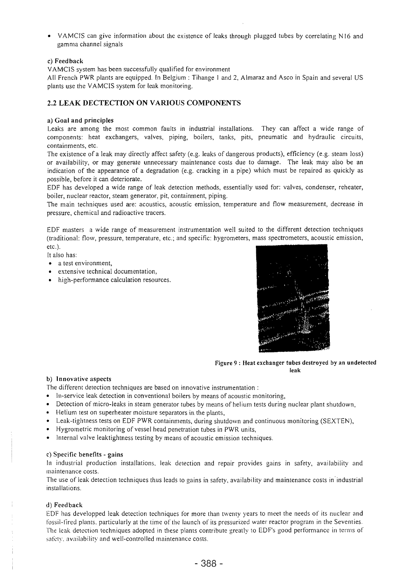• VAMCIS can give information about the existence of leaks through plugged tubes by correlating NI6 and gamma channel signals

## c) Feedback

VAMCIS system has been successfully qualified for environment

All French PWR plants are equipped. In Belgium : Tihange I and 2, Almaraz and Asco in Spain and several US plants use the VAMCIS system for leak monitoring.

# **2.2 LEAK DECTECTION ON VARIOUS COMPONENTS**

### a) **Goal** and **principles**

Leaks are among the most common faults in industrial installations. They can affect a wide range of components: heat exchangers, valves, piping, boilers, tanks, pits, pneumatic and hydraulic circuits, containments, etc.

The existence of a leak may directly affect safety (e.g. leaks of dangerous products), efficiency (e.g. steam loss) or availability, or may generate unnecessary maintenance costs due to damage. The leak may also be an indication of the appearance of a degradation (e.g. cracking in a pipe) which must be repaired as quickly as possible, before it can deteriorate.

EDF has developed a wide range of leak detection methods, essentially used for: valves, condenser, reheater, boiler, nuclear reactor, steam generator, pit, containment, piping.

The main techniques used are: acoustics, acoustic emission, temperature and flow measurement, decrease in pressure, chemical and radioactive tracers.

EDF masters a wide range of measurement instrumentation well suited to the different detection techniques (traditional: flow, pressure, temperature, etc.; and specific: hygrometers, mass spectrometers, acoustic emission, etc.).

It also has:

- a test environment,
- extensive technical documentation,
- high-performance calculation resources.



Figure 9 : Heat exchanger tubes destroyed by an undetected leak

## b) Innovative aspects

The different detection techniques are based on innovative instrumentation :

- In-service leak detection in conventional boilers by means of acoustic monitoring,
- Detection of micro-leaks in steam generator tubes by means of helium tests during nuclear plant shutdown,
- Helium test on superheater moisture separators in the plants,
- Leak-tightness tests on EDF PWR containments, during shutdown and continuous monitoring (SEXTEN),
- Hygrometric monitoring of vessel head penetration tubes in PWR units,
- Internal valve leaktightness testing by means of acoustic emission techniques.

### c) Specific benefits - gains

In industrial production installations, leak detection and repair provides gains in safety, availability and maintenance costs.

The use of leak detection techniques thus leads to gains in safety, availability and maintenance costs in industrial installations.

### d) Feedback

EDF has developped leak detection techniques for more than twenty years to meet the needs of its nuclear and fossil-fired plants, particularly at the time of the launch of its pressurized water reactor program in the Seventies. The leak detection techniques adopted in these plants contribute greatly to EDF's good performance in terms of safety, availability and well-controlled maintenance costs.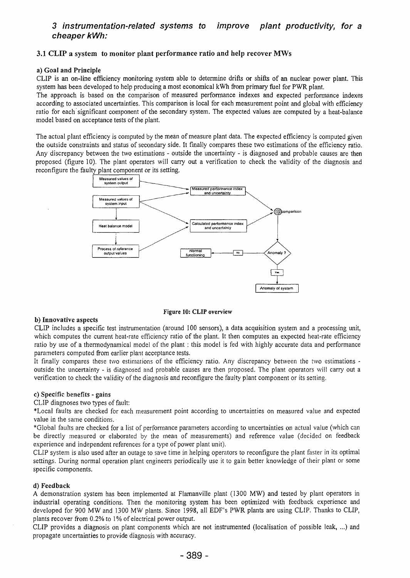#### 3 instrumentation-related systems to cheaper kWh: improve plant productivity, for a

## **3.1 CLIP a system to monitor plant performance ratio and help recover MWs**

### **a) Goal and Principle**

CLIP is an on-line efficiency monitoring system able to determine drifts or shifts of an nuclear power plant. This system has been developed to help producing a most economical kWh from primary fuel for PWR plant.

The approach is based on the comparison of measured performance indexes and expected performance indexes according to associated uncertainties. This comparison is local for each measurement point and global with efficiency ratio for each significant component of the secondary system. The expected values are computed by a heat-balance model based on acceptance tests of the plant.

The actual plant efficiency is computed by the mean of measure plant data. The expected efficiency is computed given the outside constraints and status of secondary side. It finally compares these two estimations of the efficiency ratio. Any discrepancy between the two estimations - outside the uncertainty - is diagnosed and probable causes are then proposed (figure 10). The plant operators will carry out a verification to check the validity of the diagnosis and reconfigure the faulty plant component or its setting.



Figure **10: CLIP** overview

### **b) Innovative aspects**

CLIP includes a specific test instrumentation (around 100 sensors), a data acquisition system and a processing unit, which computes the current heat-rate efficiency ratio of the plant. It then computes an expected heat-rate efficiency ratio by use of a thermodynamical model of the plant : this model is fed with highly accurate data and performance parameters computed from earlier plant acceptance tests.

It finally compares these two estimations of the efficiency ratio. Any discrepancy between the two estimations outside the uncertainty - is diagnosed and probable causes are then proposed. The plant operators will carry out a verification to check the validity of the diagnosis and reconfigure the faulty plant component or its setting.

### c) Specific benefits - gains

CLIP diagnoses two types of fault:

\*LocaI faults are checked for each measurement point according to uncertainties on measured value and expected value in the same conditions.

\*Globai faults are checked for a list of performance parameters according to uncertainties on actual value (which can be directly measured or elaborated by the mean of measurements) and reference value (decided on feedback experience and independent references for a type of power plant unit).

CLIP system is also used after an outage to save time in helping operators to reconfigure the plant faster in its optimal settings. During normal operation plant engineers periodically use it to gain better knowledge of their plant or some specific components.

### **d) Feedback**

A demonstration system has been implemented at Flamanville plant (1300 MW) and tested by plant operators in industrial operating conditions. Then the monitoring system has been optimized with feedback experience and developed for 900 MW and 1300 MW plants. Since 1998, all EDF's PWR plants are using CLIP. Thanks to CLIP, plants recover from 0.2% to 1% of electrical power output.

CLIP provides a diagnosis on plant components which are not instrumented (localisation of possible leak, ...) and propagate uncertainties to provide diagnosis with accuracy.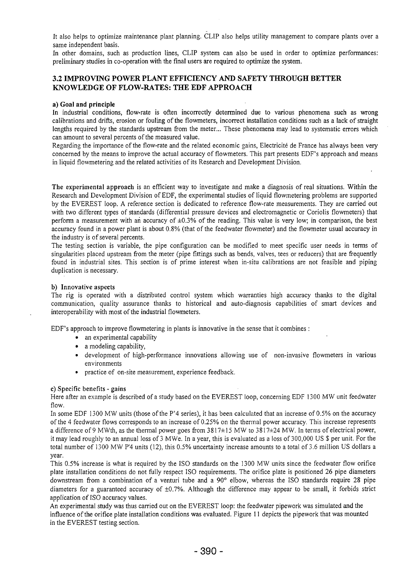It also helps to optimize maintenance plant planning. CLIP also helps utility management to compare plants over a same independent basis.

In other domains, such as production lines, CLIP system can also be used in order to optimize performances: preliminary studies in co-operation with the final users are required to optimize the system.

# **3.2 IMPROVING POWER PLANT EFFICIENCY AND SAFETY THROUGH BETTER KNOWLEDGE OF FLOW-RATES: THE EDF APPROACH**

## **a) Goal and principle**

In industrial conditions, flow-rate is often incorrectly determined due to various phenomena such as wrong calibrations and drifts, erosion or fouling of the flowmeters, incorrect installation conditions such as a lack of straight lengths required by the standards upstream from the meter... These phenomena may lead to systematic errors which can amount to several percents of the measured value.

Regarding the importance of the flow-rate and the related economic gains, Electricité de France has always been very concerned by the means to improve the actual accuracy of flowmeters. This part presents EDF's approach and means in liquid flowmetering and the related activities of its Research and Development Division.

The experimental approach is an efficient way to investigate and make a diagnosis of real situations. Within the Research and Development Division of EDF, the experimental studies of liquid flowmetering problems are supported by the EVEREST loop. A reference section is dedicated to reference flow-rate measurements. They are carried out with two different types of standards (differential pressure devices and electromagnetic or Coriolis flowmeters) that perform a measurement with an accuracy of ±0.3% of the reading. This value is very low; in comparison, the best accuracy found in a power plant is about 0.8% (that of the feedwater flowmeter) and the flowmeter usual accuracy in the industry is of several percents.

The testing section is variable, the pipe configuration can be modified to meet specific user needs in terms of singularities placed upstream from the meter (pipe fittings such as bends, valves, tees or reducers) that are frequently found in industrial sites. This section is of prime interest when in-situ calibrations are not feasible and piping duplication is necessary.

## b) Innovative aspects

The rig is operated with a distributed control system which warranties high accuracy thanks to the digital communication, quality assurance thanks to historical and auto-diagnosis capabilities of smart devices and interoperability with most of the industrial flowmeters.

EDF's approach to improve flowmetering in plants is innovative in the sense that it combines:

- an experimental capability
- a modeling capability,
- development of high-performance innovations allowing use of non-invasive flowmeters in various environments
- practice of on-site measurement, experience feedback.

### c) Specific benefits - gains

Here after an example is described of a study based on the EVEREST loop, concerning EDF 1300 MW unit feedwater flow.

In some EDF 1300 MW units (those of the P'4 series), it has been calculated that an increase of 0.5% on the accuracy of the 4 feedwater flows corresponds to an increase of 0.25% on the thermal power accuracy. This increase represents a difference of 9 MWth, as the thermal power goes from 3817±15 MW to 3817±24 MW. In terms of electrical power, it may lead roughly to an annual loss of 3 MWe. In a year, this is evaluated as a loss of 300,000 US S per unit. For the total number of 1300 MW P'4 units (12), this 0.5% uncertainty increase amounts to a total of 3.6 million US dollars a year.

This 0.5% increase is what is required by the ISO standards on the 1300 MW units since the feedwater flow orifice plate installation conditions do not fully respect ISO requirements. The orifice plate is positioned 26 pipe diameters downstream from a combination of a venturi tube and a 90° elbow, whereas the ISO standards require 28 pipe diameters for a guaranteed accuracy of  $\pm 0.7$ %. Although the difference may appear to be small, it forbids strict application of ISO accuracy values.

An experimental study was thus carried out on the EVEREST loop: the feedwater pipework was simulated and the influence of the orifice plate installation conditions was evaluated. Figure 11 depicts the pipework that was mounted in the EVEREST testing section.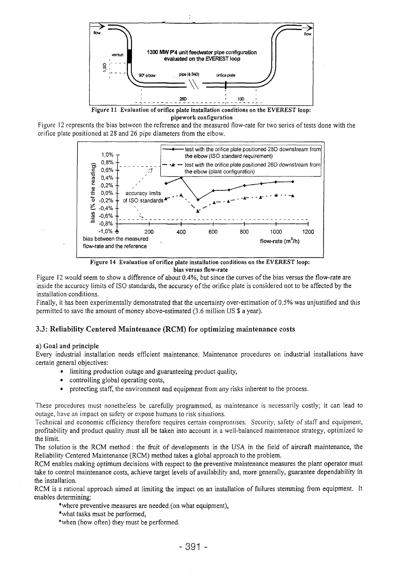

Figure II Evaluation of orifice plate installation conditions on the EVEREST loop: pipework configuration







Figure 12 would seem to show a difference of about 0.4%, but since the curves of the bias versus the flow-rate are inside the accuracy limits of ISO standards, the accuracy of the orifice plate is considered not to be affected by the installation conditions.

Finally, it has been experimentally demonstrated that the uncertainty over-estimation of 0.5% was unjustified and this permitted to save the amount of money above-estimated (3.6 million US \$ a year).

# 3.3: Reliability Centered Maintenance (RCM) for optimizing maintenance costs

## a) Goal and principle

Every industrial installation needs efficient maintenance. Maintenance procedures on industrial installations have certain general objectives:

- limiting production outage and guaranteeing product quality,
- controlling global operating costs,
- protecting staff, the environment and equipment from any risks inherent to the process.

These procedures must nonetheless be carefully programmed, as maintenance is necessarily costly; it can lead to outage, have an impact on safety or expose humans to risk situations.

Technical and economic efficiency therefore requires certain compromises. Security, safety of staff and equipment, profitability and product quality must all be taken into account in a well-balanced maintenance strategy, optimized to the limit.

The solution is the RCM method : the fruit of developments in the USA in the field of aircraft maintenance, the Reliability Centered Maintenance (RCM) method takes a global approach to the problem.

RCM enables making optimum decisions with respect to the preventive maintenance measures the plant operator must take to control maintenance costs, achieve target levels of availability and, more generally, guarantee dependability in the installation.

RCM is a rational approach aimed at limiting the impact on an installation of failures stemming from equipment. It enables determining:

- where preventive measures are needed (on what equipment),
- \*what tasks must be performed,
- \*when (how often) they must be performed.